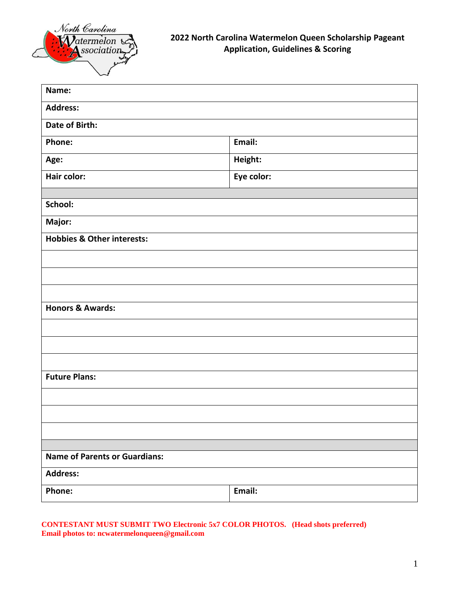

| Name:                                 |            |
|---------------------------------------|------------|
|                                       |            |
| <b>Address:</b>                       |            |
| Date of Birth:                        |            |
| Phone:                                | Email:     |
| Age:                                  | Height:    |
| Hair color:                           | Eye color: |
|                                       |            |
| School:                               |            |
| Major:                                |            |
| <b>Hobbies &amp; Other interests:</b> |            |
|                                       |            |
|                                       |            |
|                                       |            |
| <b>Honors &amp; Awards:</b>           |            |
|                                       |            |
|                                       |            |
|                                       |            |
| <b>Future Plans:</b>                  |            |
|                                       |            |
|                                       |            |
|                                       |            |
|                                       |            |
| <b>Name of Parents or Guardians:</b>  |            |
| <b>Address:</b>                       |            |
| Phone:                                | Email:     |

### **CONTESTANT MUST SUBMIT TWO Electronic 5x7 COLOR PHOTOS. (Head shots preferred) Email photos to: ncwatermelonqueen@gmail.com**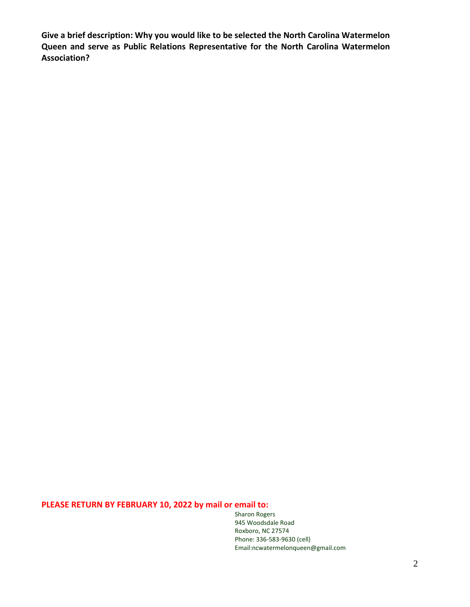**Give a brief description: Why you would like to be selected the North Carolina Watermelon Queen and serve as Public Relations Representative for the North Carolina Watermelon Association?** 

# **PLEASE RETURN BY FEBRUARY 10, 2022 by mail or email to:**

Sharon Rogers 945 Woodsdale Road Roxboro, NC 27574 Phone: 336-583-9630 (cell) Email:ncwatermelonqueen@gmail.com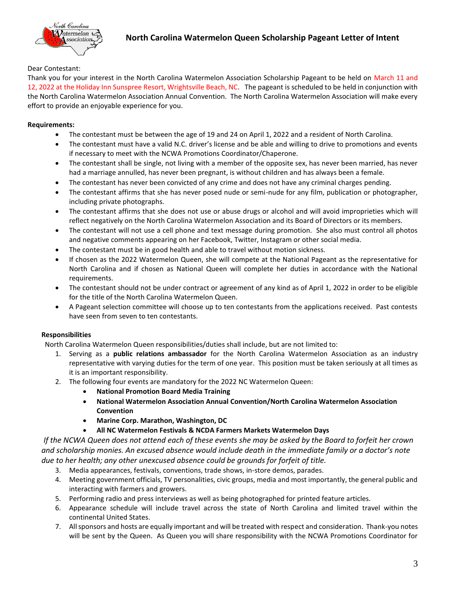

### Dear Contestant:

Thank you for your interest in the North Carolina Watermelon Association Scholarship Pageant to be held on March 11 and 12, 2022 at the Holiday Inn Sunspree Resort, Wrightsville Beach, NC. The pageant is scheduled to be held in conjunction with the North Carolina Watermelon Association Annual Convention. The North Carolina Watermelon Association will make every effort to provide an enjoyable experience for you.

### **Requirements:**

- The contestant must be between the age of 19 and 24 on April 1, 2022 and a resident of North Carolina.
- The contestant must have a valid N.C. driver's license and be able and willing to drive to promotions and events if necessary to meet with the NCWA Promotions Coordinator/Chaperone.
- The contestant shall be single, not living with a member of the opposite sex, has never been married, has never had a marriage annulled, has never been pregnant, is without children and has always been a female.
- The contestant has never been convicted of any crime and does not have any criminal charges pending.
- The contestant affirms that she has never posed nude or semi-nude for any film, publication or photographer, including private photographs.
- The contestant affirms that she does not use or abuse drugs or alcohol and will avoid improprieties which will reflect negatively on the North Carolina Watermelon Association and its Board of Directors or its members.
- The contestant will not use a cell phone and text message during promotion. She also must control all photos and negative comments appearing on her Facebook, Twitter, Instagram or other social media.
- The contestant must be in good health and able to travel without motion sickness.
- If chosen as the 2022 Watermelon Queen, she will compete at the National Pageant as the representative for North Carolina and if chosen as National Queen will complete her duties in accordance with the National requirements.
- The contestant should not be under contract or agreement of any kind as of April 1, 2022 in order to be eligible for the title of the North Carolina Watermelon Queen.
- A Pageant selection committee will choose up to ten contestants from the applications received. Past contests have seen from seven to ten contestants.

### **Responsibilities**

North Carolina Watermelon Queen responsibilities/duties shall include, but are not limited to:

- 1. Serving as a **public relations ambassador** for the North Carolina Watermelon Association as an industry representative with varying duties for the term of one year. This position must be taken seriously at all times as it is an important responsibility.
- 2. The following four events are mandatory for the 2022 NC Watermelon Queen:
	- **National Promotion Board Media Training**
	- **National Watermelon Association Annual Convention/North Carolina Watermelon Association Convention**
	- **Marine Corp. Marathon, Washington, DC**
		- **All NC Watermelon Festivals & NCDA Farmers Markets Watermelon Days**

*If the NCWA Queen does not attend each of these events she may be asked by the Board to forfeit her crown and scholarship monies. An excused absence would include death in the immediate family or a doctor's note due to her health; any other unexcused absence could be grounds for forfeit of title.*

- 3. Media appearances, festivals, conventions, trade shows, in-store demos, parades.
- 4. Meeting government officials, TV personalities, civic groups, media and most importantly, the general public and interacting with farmers and growers.
- 5. Performing radio and press interviews as well as being photographed for printed feature articles.
- 6. Appearance schedule will include travel across the state of North Carolina and limited travel within the continental United States.
- 7. All sponsors and hosts are equally important and will be treated with respect and consideration. Thank-you notes will be sent by the Queen. As Queen you will share responsibility with the NCWA Promotions Coordinator for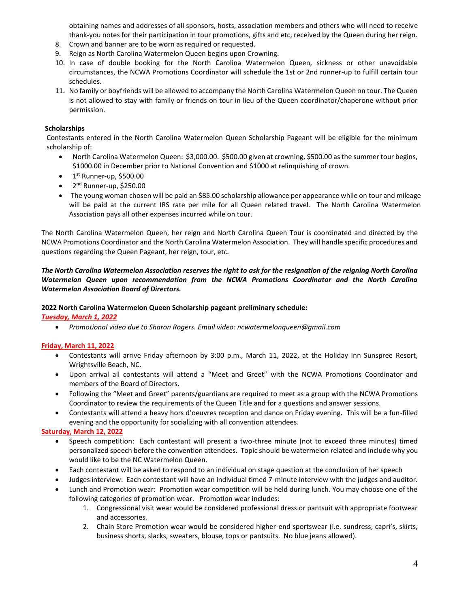obtaining names and addresses of all sponsors, hosts, association members and others who will need to receive thank-you notes for their participation in tour promotions, gifts and etc, received by the Queen during her reign.

- 8. Crown and banner are to be worn as required or requested.
- 9. Reign as North Carolina Watermelon Queen begins upon Crowning.
- 10. In case of double booking for the North Carolina Watermelon Queen, sickness or other unavoidable circumstances, the NCWA Promotions Coordinator will schedule the 1st or 2nd runner-up to fulfill certain tour schedules.
- 11. No family or boyfriends will be allowed to accompany the North Carolina Watermelon Queen on tour. The Queen is not allowed to stay with family or friends on tour in lieu of the Queen coordinator/chaperone without prior permission.

#### **Scholarships**

 Contestants entered in the North Carolina Watermelon Queen Scholarship Pageant will be eligible for the minimum scholarship of:

- North Carolina Watermelon Queen: \$3,000.00. \$500.00 given at crowning, \$500.00 as the summer tour begins, \$1000.00 in December prior to National Convention and \$1000 at relinquishing of crown.
- $\bullet$  1<sup>st</sup> Runner-up, \$500.00
- 2<sup>nd</sup> Runner-up, \$250.00
- The young woman chosen will be paid an \$85.00 scholarship allowance per appearance while on tour and mileage will be paid at the current IRS rate per mile for all Queen related travel. The North Carolina Watermelon Association pays all other expenses incurred while on tour.

The North Carolina Watermelon Queen, her reign and North Carolina Queen Tour is coordinated and directed by the NCWA Promotions Coordinator and the North Carolina Watermelon Association. They will handle specific procedures and questions regarding the Queen Pageant, her reign, tour, etc.

#### *The North Carolina Watermelon Association reserves the right to ask for the resignation of the reigning North Carolina Watermelon Queen upon recommendation from the NCWA Promotions Coordinator and the North Carolina Watermelon Association Board of Directors.*

#### **2022 North Carolina Watermelon Queen Scholarship pageant preliminary schedule:**

#### *Tuesday, March 1, 2022*

*Promotional video due to Sharon Rogers. Email video: ncwatermelonqueen@gmail.com*

#### **Friday, March 11, 2022**

- Contestants will arrive Friday afternoon by 3:00 p.m., March 11, 2022, at the Holiday Inn Sunspree Resort, Wrightsville Beach, NC.
- Upon arrival all contestants will attend a "Meet and Greet" with the NCWA Promotions Coordinator and members of the Board of Directors.
- Following the "Meet and Greet" parents/guardians are required to meet as a group with the NCWA Promotions Coordinator to review the requirements of the Queen Title and for a questions and answer sessions.
- Contestants will attend a heavy hors d'oeuvres reception and dance on Friday evening. This will be a fun-filled evening and the opportunity for socializing with all convention attendees.

#### **Saturday, March 12, 2022**

- Speech competition: Each contestant will present a two-three minute (not to exceed three minutes) timed personalized speech before the convention attendees. Topic should be watermelon related and include why you would like to be the NC Watermelon Queen.
- Each contestant will be asked to respond to an individual on stage question at the conclusion of her speech
- Judges interview: Each contestant will have an individual timed 7-minute interview with the judges and auditor.
- Lunch and Promotion wear: Promotion wear competition will be held during lunch. You may choose one of the following categories of promotion wear. Promotion wear includes:
	- 1. Congressional visit wear would be considered professional dress or pantsuit with appropriate footwear and accessories.
	- 2. Chain Store Promotion wear would be considered higher-end sportswear (i.e. sundress, capri's, skirts, business shorts, slacks, sweaters, blouse, tops or pantsuits. No blue jeans allowed).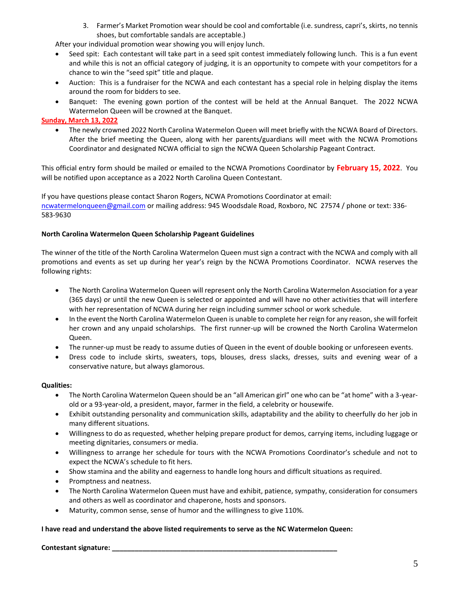3. Farmer's Market Promotion wear should be cool and comfortable (i.e. sundress, capri's, skirts, no tennis shoes, but comfortable sandals are acceptable.)

After your individual promotion wear showing you will enjoy lunch.

- Seed spit: Each contestant will take part in a seed spit contest immediately following lunch. This is a fun event and while this is not an official category of judging, it is an opportunity to compete with your competitors for a chance to win the "seed spit" title and plaque.
- Auction: This is a fundraiser for the NCWA and each contestant has a special role in helping display the items around the room for bidders to see.
- Banquet: The evening gown portion of the contest will be held at the Annual Banquet. The 2022 NCWA Watermelon Queen will be crowned at the Banquet.

#### **Sunday, March 13, 2022**

 The newly crowned 2022 North Carolina Watermelon Queen will meet briefly with the NCWA Board of Directors. After the brief meeting the Queen, along with her parents/guardians will meet with the NCWA Promotions Coordinator and designated NCWA official to sign the NCWA Queen Scholarship Pageant Contract.

This official entry form should be mailed or emailed to the NCWA Promotions Coordinator by **February 15, 2022**. You will be notified upon acceptance as a 2022 North Carolina Queen Contestant.

If you have questions please contact Sharon Rogers, NCWA Promotions Coordinator at email: [ncwatermelonqueen@gmail.com](mailto:ncwatermelonqueen@gmail.com) or mailing address: 945 Woodsdale Road, Roxboro, NC 27574 / phone or text: 336- 583-9630

#### **North Carolina Watermelon Queen Scholarship Pageant Guidelines**

The winner of the title of the North Carolina Watermelon Queen must sign a contract with the NCWA and comply with all promotions and events as set up during her year's reign by the NCWA Promotions Coordinator. NCWA reserves the following rights:

- The North Carolina Watermelon Queen will represent only the North Carolina Watermelon Association for a year (365 days) or until the new Queen is selected or appointed and will have no other activities that will interfere with her representation of NCWA during her reign including summer school or work schedule.
- In the event the North Carolina Watermelon Queen is unable to complete her reign for any reason, she will forfeit her crown and any unpaid scholarships. The first runner-up will be crowned the North Carolina Watermelon Queen.
- The runner-up must be ready to assume duties of Queen in the event of double booking or unforeseen events.
- Dress code to include skirts, sweaters, tops, blouses, dress slacks, dresses, suits and evening wear of a conservative nature, but always glamorous.

#### **Qualities:**

- The North Carolina Watermelon Queen should be an "all American girl" one who can be "at home" with a 3-yearold or a 93-year-old, a president, mayor, farmer in the field, a celebrity or housewife.
- Exhibit outstanding personality and communication skills, adaptability and the ability to cheerfully do her job in many different situations.
- Willingness to do as requested, whether helping prepare product for demos, carrying items, including luggage or meeting dignitaries, consumers or media.
- Willingness to arrange her schedule for tours with the NCWA Promotions Coordinator's schedule and not to expect the NCWA's schedule to fit hers.
- Show stamina and the ability and eagerness to handle long hours and difficult situations as required.
- Promptness and neatness.
- The North Carolina Watermelon Queen must have and exhibit, patience, sympathy, consideration for consumers and others as well as coordinator and chaperone, hosts and sponsors.
- Maturity, common sense, sense of humor and the willingness to give 110%.

#### **I have read and understand the above listed requirements to serve as the NC Watermelon Queen:**

#### **Contestant signature: \_\_\_\_\_\_\_\_\_\_\_\_\_\_\_\_\_\_\_\_\_\_\_\_\_\_\_\_\_\_\_\_\_\_\_\_\_\_\_\_\_\_\_\_\_\_\_\_\_\_\_\_\_\_\_\_\_\_\_**